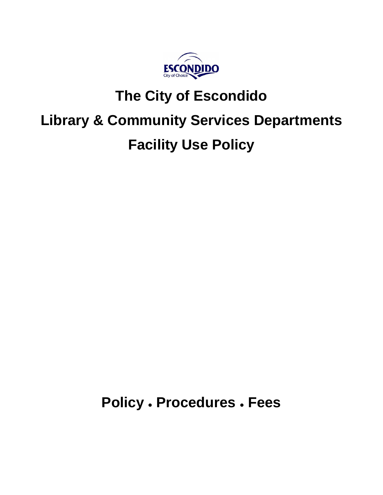

## **The City of Escondido**

# **Library & Community Services Departments**

## **Facility Use Policy**

**Policy ● Procedures ● Fees**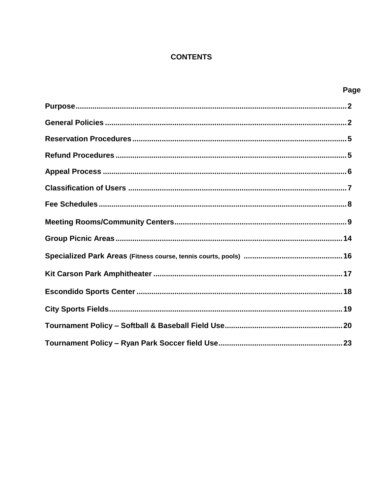## **CONTENTS**

| Page |
|------|
|      |
|      |
|      |
|      |
|      |
|      |
|      |
|      |
|      |
|      |
|      |
|      |
|      |
|      |
|      |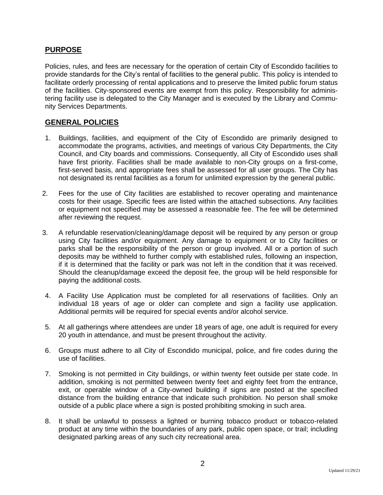## **PURPOSE**

Policies, rules, and fees are necessary for the operation of certain City of Escondido facilities to provide standards for the City's rental of facilities to the general public. This policy is intended to facilitate orderly processing of rental applications and to preserve the limited public forum status of the facilities. City-sponsored events are exempt from this policy. Responsibility for administering facility use is delegated to the City Manager and is executed by the Library and Community Services Departments.

#### **GENERAL POLICIES**

- 1. Buildings, facilities, and equipment of the City of Escondido are primarily designed to accommodate the programs, activities, and meetings of various City Departments, the City Council, and City boards and commissions. Consequently, all City of Escondido uses shall have first priority. Facilities shall be made available to non-City groups on a first-come, first-served basis, and appropriate fees shall be assessed for all user groups. The City has not designated its rental facilities as a forum for unlimited expression by the general public.
- 2. Fees for the use of City facilities are established to recover operating and maintenance costs for their usage. Specific fees are listed within the attached subsections. Any facilities or equipment not specified may be assessed a reasonable fee. The fee will be determined after reviewing the request.
- 3. A refundable reservation/cleaning/damage deposit will be required by any person or group using City facilities and/or equipment. Any damage to equipment or to City facilities or parks shall be the responsibility of the person or group involved. All or a portion of such deposits may be withheld to further comply with established rules, following an inspection, if it is determined that the facility or park was not left in the condition that it was received. Should the cleanup/damage exceed the deposit fee, the group will be held responsible for paying the additional costs.
- 4. A Facility Use Application must be completed for all reservations of facilities. Only an individual 18 years of age or older can complete and sign a facility use application. Additional permits will be required for special events and/or alcohol service.
- 5. At all gatherings where attendees are under 18 years of age, one adult is required for every 20 youth in attendance, and must be present throughout the activity.
- 6. Groups must adhere to all City of Escondido municipal, police, and fire codes during the use of facilities.
- 7. Smoking is not permitted in City buildings, or within twenty feet outside per state code. In addition, smoking is not permitted between twenty feet and eighty feet from the entrance, exit, or operable window of a City-owned building if signs are posted at the specified distance from the building entrance that indicate such prohibition. No person shall smoke outside of a public place where a sign is posted prohibiting smoking in such area.
- 8. It shall be unlawful to possess a lighted or burning tobacco product or tobacco-related product at any time within the boundaries of any park, public open space, or trail; including designated parking areas of any such city recreational area.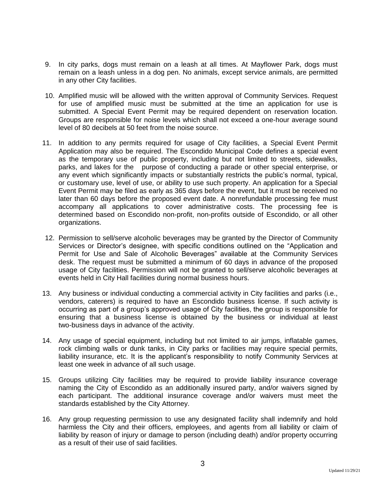- 9. In city parks, dogs must remain on a leash at all times. At Mayflower Park, dogs must remain on a leash unless in a dog pen. No animals, except service animals, are permitted in any other City facilities.
- 10. Amplified music will be allowed with the written approval of Community Services. Request for use of amplified music must be submitted at the time an application for use is submitted. A Special Event Permit may be required dependent on reservation location. Groups are responsible for noise levels which shall not exceed a one-hour average sound level of 80 decibels at 50 feet from the noise source.
- 11. In addition to any permits required for usage of City facilities, a Special Event Permit Application may also be required. The Escondido Municipal Code defines a special event as the temporary use of public property, including but not limited to streets, sidewalks, parks, and lakes for the purpose of conducting a parade or other special enterprise, or any event which significantly impacts or substantially restricts the public's normal, typical, or customary use, level of use, or ability to use such property. An application for a Special Event Permit may be filed as early as 365 days before the event, but it must be received no later than 60 days before the proposed event date. A nonrefundable processing fee must accompany all applications to cover administrative costs. The processing fee is determined based on Escondido non-profit, non-profits outside of Escondido, or all other organizations.
- 12. Permission to sell/serve alcoholic beverages may be granted by the Director of Community Services or Director's designee, with specific conditions outlined on the "Application and Permit for Use and Sale of Alcoholic Beverages" available at the Community Services desk. The request must be submitted a minimum of 60 days in advance of the proposed usage of City facilities. Permission will not be granted to sell/serve alcoholic beverages at events held in City Hall facilities during normal business hours.
- 13. Any business or individual conducting a commercial activity in City facilities and parks (i.e., vendors, caterers) is required to have an Escondido business license. If such activity is occurring as part of a group's approved usage of City facilities, the group is responsible for ensuring that a business license is obtained by the business or individual at least two-business days in advance of the activity.
- 14. Any usage of special equipment, including but not limited to air jumps, inflatable games, rock climbing walls or dunk tanks, in City parks or facilities may require special permits, liability insurance, etc. It is the applicant's responsibility to notify Community Services at least one week in advance of all such usage.
- 15. Groups utilizing City facilities may be required to provide liability insurance coverage naming the City of Escondido as an additionally insured party, and/or waivers signed by each participant. The additional insurance coverage and/or waivers must meet the standards established by the City Attorney.
- 16. Any group requesting permission to use any designated facility shall indemnify and hold harmless the City and their officers, employees, and agents from all liability or claim of liability by reason of injury or damage to person (including death) and/or property occurring as a result of their use of said facilities.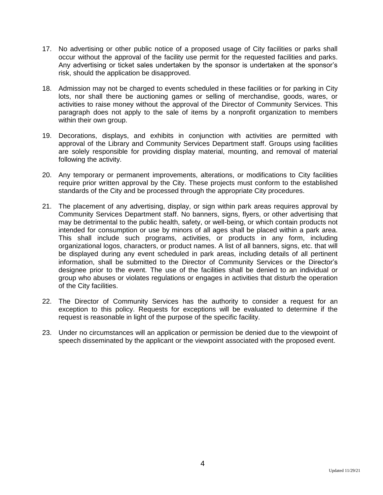- 17. No advertising or other public notice of a proposed usage of City facilities or parks shall occur without the approval of the facility use permit for the requested facilities and parks. Any advertising or ticket sales undertaken by the sponsor is undertaken at the sponsor's risk, should the application be disapproved.
- 18. Admission may not be charged to events scheduled in these facilities or for parking in City lots, nor shall there be auctioning games or selling of merchandise, goods, wares, or activities to raise money without the approval of the Director of Community Services. This paragraph does not apply to the sale of items by a nonprofit organization to members within their own group.
- 19. Decorations, displays, and exhibits in conjunction with activities are permitted with approval of the Library and Community Services Department staff. Groups using facilities are solely responsible for providing display material, mounting, and removal of material following the activity.
- 20. Any temporary or permanent improvements, alterations, or modifications to City facilities require prior written approval by the City. These projects must conform to the established standards of the City and be processed through the appropriate City procedures.
- 21. The placement of any advertising, display, or sign within park areas requires approval by Community Services Department staff. No banners, signs, flyers, or other advertising that may be detrimental to the public health, safety, or well-being, or which contain products not intended for consumption or use by minors of all ages shall be placed within a park area. This shall include such programs, activities, or products in any form, including organizational logos, characters, or product names. A list of all banners, signs, etc. that will be displayed during any event scheduled in park areas, including details of all pertinent information, shall be submitted to the Director of Community Services or the Director's designee prior to the event. The use of the facilities shall be denied to an individual or group who abuses or violates regulations or engages in activities that disturb the operation of the City facilities.
- 22. The Director of Community Services has the authority to consider a request for an exception to this policy. Requests for exceptions will be evaluated to determine if the request is reasonable in light of the purpose of the specific facility.
- 23. Under no circumstances will an application or permission be denied due to the viewpoint of speech disseminated by the applicant or the viewpoint associated with the proposed event.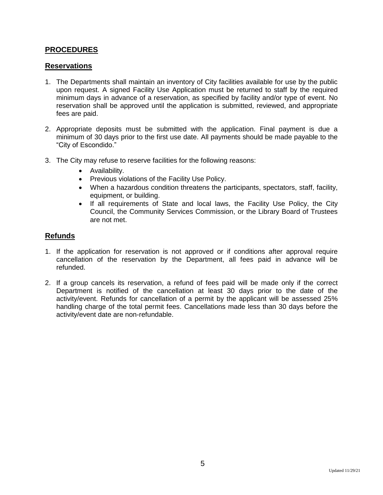### **PROCEDURES**

#### **Reservations**

- 1. The Departments shall maintain an inventory of City facilities available for use by the public upon request. A signed Facility Use Application must be returned to staff by the required minimum days in advance of a reservation, as specified by facility and/or type of event. No reservation shall be approved until the application is submitted, reviewed, and appropriate fees are paid.
- 2. Appropriate deposits must be submitted with the application. Final payment is due a minimum of 30 days prior to the first use date. All payments should be made payable to the "City of Escondido."
- 3. The City may refuse to reserve facilities for the following reasons:
	- Availability.
	- Previous violations of the Facility Use Policy.
	- When a hazardous condition threatens the participants, spectators, staff, facility, equipment, or building.
	- If all requirements of State and local laws, the Facility Use Policy, the City Council, the Community Services Commission, or the Library Board of Trustees are not met.

#### **Refunds**

- 1. If the application for reservation is not approved or if conditions after approval require cancellation of the reservation by the Department, all fees paid in advance will be refunded.
- 2. If a group cancels its reservation, a refund of fees paid will be made only if the correct Department is notified of the cancellation at least 30 days prior to the date of the activity/event. Refunds for cancellation of a permit by the applicant will be assessed 25% handling charge of the total permit fees. Cancellations made less than 30 days before the activity/event date are non-refundable.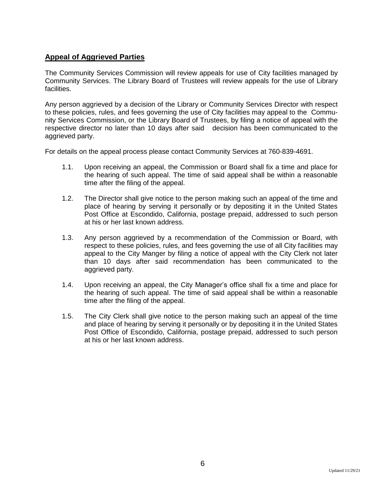## **Appeal of Aggrieved Parties**

The Community Services Commission will review appeals for use of City facilities managed by Community Services. The Library Board of Trustees will review appeals for the use of Library facilities.

Any person aggrieved by a decision of the Library or Community Services Director with respect to these policies, rules, and fees governing the use of City facilities may appeal to the Community Services Commission, or the Library Board of Trustees, by filing a notice of appeal with the respective director no later than 10 days after said decision has been communicated to the aggrieved party.

For details on the appeal process please contact Community Services at 760-839-4691.

- 1.1. Upon receiving an appeal, the Commission or Board shall fix a time and place for the hearing of such appeal. The time of said appeal shall be within a reasonable time after the filing of the appeal.
- 1.2. The Director shall give notice to the person making such an appeal of the time and place of hearing by serving it personally or by depositing it in the United States Post Office at Escondido, California, postage prepaid, addressed to such person at his or her last known address.
- 1.3. Any person aggrieved by a recommendation of the Commission or Board, with respect to these policies, rules, and fees governing the use of all City facilities may appeal to the City Manger by filing a notice of appeal with the City Clerk not later than 10 days after said recommendation has been communicated to the aggrieved party.
- 1.4. Upon receiving an appeal, the City Manager's office shall fix a time and place for the hearing of such appeal. The time of said appeal shall be within a reasonable time after the filing of the appeal.
- 1.5. The City Clerk shall give notice to the person making such an appeal of the time and place of hearing by serving it personally or by depositing it in the United States Post Office of Escondido, California, postage prepaid, addressed to such person at his or her last known address.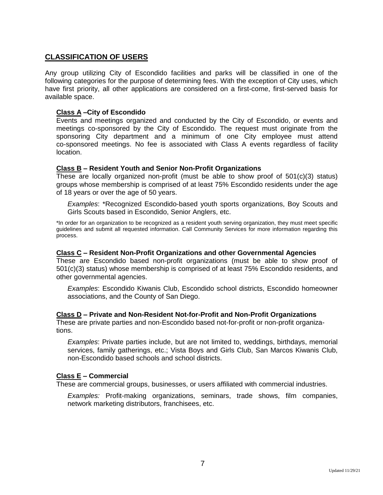## **CLASSIFICATION OF USERS**

Any group utilizing City of Escondido facilities and parks will be classified in one of the following categories for the purpose of determining fees. With the exception of City uses, which have first priority, all other applications are considered on a first-come, first-served basis for available space.

#### **Class A –City of Escondido**

Events and meetings organized and conducted by the City of Escondido, or events and meetings co-sponsored by the City of Escondido. The request must originate from the sponsoring City department and a minimum of one City employee must attend co-sponsored meetings. No fee is associated with Class A events regardless of facility location.

#### **Class B – Resident Youth and Senior Non-Profit Organizations**

These are locally organized non-profit (must be able to show proof of 501(c)(3) status) groups whose membership is comprised of at least 75% Escondido residents under the age of 18 years or over the age of 50 years.

*Examples*: \*Recognized Escondido-based youth sports organizations, Boy Scouts and Girls Scouts based in Escondido, Senior Anglers, etc.

\*In order for an organization to be recognized as a resident youth serving organization, they must meet specific guidelines and submit all requested information. Call Community Services for more information regarding this process.

#### **Class C – Resident Non-Profit Organizations and other Governmental Agencies**

These are Escondido based non-profit organizations (must be able to show proof of 501(c)(3) status) whose membership is comprised of at least 75% Escondido residents, and other governmental agencies.

*Examples*: Escondido Kiwanis Club, Escondido school districts, Escondido homeowner associations, and the County of San Diego.

#### **Class D – Private and Non-Resident Not-for-Profit and Non-Profit Organizations**

These are private parties and non-Escondido based not-for-profit or non-profit organizations.

*Examples*: Private parties include, but are not limited to, weddings, birthdays, memorial services, family gatherings, etc.; Vista Boys and Girls Club, San Marcos Kiwanis Club, non-Escondido based schools and school districts.

#### **Class E – Commercial**

These are commercial groups, businesses, or users affiliated with commercial industries.

*Examples:* Profit-making organizations, seminars, trade shows, film companies, network marketing distributors, franchisees, etc.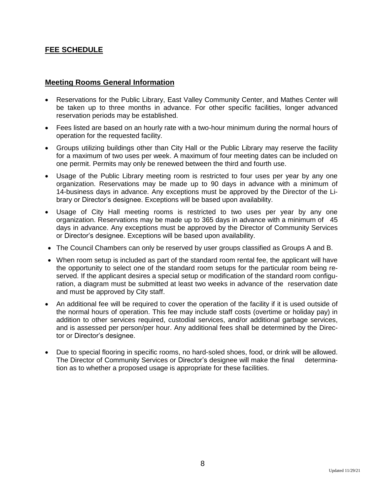## **FEE SCHEDULE**

#### **Meeting Rooms General Information**

- Reservations for the Public Library, East Valley Community Center, and Mathes Center will be taken up to three months in advance. For other specific facilities, longer advanced reservation periods may be established.
- Fees listed are based on an hourly rate with a two-hour minimum during the normal hours of operation for the requested facility.
- Groups utilizing buildings other than City Hall or the Public Library may reserve the facility for a maximum of two uses per week. A maximum of four meeting dates can be included on one permit. Permits may only be renewed between the third and fourth use.
- Usage of the Public Library meeting room is restricted to four uses per year by any one organization. Reservations may be made up to 90 days in advance with a minimum of 14-business days in advance. Any exceptions must be approved by the Director of the Library or Director's designee. Exceptions will be based upon availability.
- Usage of City Hall meeting rooms is restricted to two uses per year by any one organization. Reservations may be made up to 365 days in advance with a minimum of 45 days in advance. Any exceptions must be approved by the Director of Community Services or Director's designee. Exceptions will be based upon availability.
- The Council Chambers can only be reserved by user groups classified as Groups A and B.
- When room setup is included as part of the standard room rental fee, the applicant will have the opportunity to select one of the standard room setups for the particular room being reserved. If the applicant desires a special setup or modification of the standard room configuration, a diagram must be submitted at least two weeks in advance of the reservation date and must be approved by City staff.
- An additional fee will be required to cover the operation of the facility if it is used outside of the normal hours of operation. This fee may include staff costs (overtime or holiday pay) in addition to other services required, custodial services, and/or additional garbage services, and is assessed per person/per hour. Any additional fees shall be determined by the Director or Director's designee.
- Due to special flooring in specific rooms, no hard-soled shoes, food, or drink will be allowed. The Director of Community Services or Director's designee will make the final determination as to whether a proposed usage is appropriate for these facilities.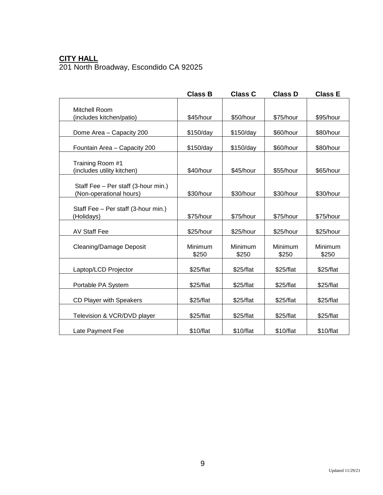## **CITY HALL** 201 North Broadway, Escondido CA 92025

|                                                                | <b>Class B</b>   | <b>Class C</b>   | <b>Class D</b>   | <b>Class E</b>   |
|----------------------------------------------------------------|------------------|------------------|------------------|------------------|
| Mitchell Room                                                  |                  |                  |                  |                  |
| (includes kitchen/patio)                                       | \$45/hour        | \$50/hour        | \$75/hour        | \$95/hour        |
| Dome Area - Capacity 200                                       | \$150/day        | \$150/day        | \$60/hour        | \$80/hour        |
| Fountain Area - Capacity 200                                   | \$150/day        | \$150/day        | \$60/hour        | \$80/hour        |
| Training Room #1<br>(includes utility kitchen)                 | \$40/hour        | \$45/hour        | \$55/hour        | \$65/hour        |
| Staff Fee - Per staff (3-hour min.)<br>(Non-operational hours) | \$30/hour        | \$30/hour        | \$30/hour        | \$30/hour        |
| Staff Fee - Per staff (3-hour min.)<br>(Holidays)              | \$75/hour        | \$75/hour        | \$75/hour        | \$75/hour        |
| <b>AV Staff Fee</b>                                            | \$25/hour        | \$25/hour        | \$25/hour        | \$25/hour        |
| <b>Cleaning/Damage Deposit</b>                                 | Minimum<br>\$250 | Minimum<br>\$250 | Minimum<br>\$250 | Minimum<br>\$250 |
| Laptop/LCD Projector                                           | \$25/flat        | \$25/flat        | \$25/flat        | \$25/flat        |
| Portable PA System                                             | \$25/flat        | \$25/flat        | \$25/flat        | \$25/flat        |
| CD Player with Speakers                                        | \$25/flat        | \$25/flat        | \$25/flat        | \$25/flat        |
| Television & VCR/DVD player                                    | \$25/flat        | \$25/flat        | \$25/flat        | \$25/flat        |
| Late Payment Fee                                               | \$10/flat        | \$10/flat        | \$10/flat        | \$10/flat        |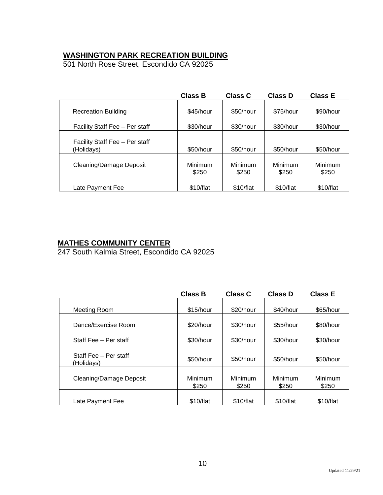## **WASHINGTON PARK RECREATION BUILDING**

501 North Rose Street, Escondido CA 92025

|                                              | <b>Class B</b>   | <b>Class C</b>   | <b>Class D</b>   | <b>Class E</b>   |
|----------------------------------------------|------------------|------------------|------------------|------------------|
| <b>Recreation Building</b>                   | \$45/hour        | \$50/hour        | \$75/hour        | \$90/hour        |
| Facility Staff Fee - Per staff               | \$30/hour        | \$30/hour        | \$30/hour        | \$30/hour        |
| Facility Staff Fee - Per staff<br>(Holidays) | \$50/hour        | \$50/hour        | \$50/hour        | \$50/hour        |
| Cleaning/Damage Deposit                      | Minimum<br>\$250 | Minimum<br>\$250 | Minimum<br>\$250 | Minimum<br>\$250 |
| Late Payment Fee                             | \$10/flat        | \$10/flat        | \$10/flat        | \$10/flat        |

### **MATHES COMMUNITY CENTER**

247 South Kalmia Street, Escondido CA 92025

|                                     | <b>Class B</b>   | <b>Class C</b>   | <b>Class D</b>   | <b>Class E</b>   |
|-------------------------------------|------------------|------------------|------------------|------------------|
| Meeting Room                        | \$15/hour        | \$20/hour        | \$40/hour        | \$65/hour        |
| Dance/Exercise Room                 | \$20/hour        | \$30/hour        | \$55/hour        | \$80/hour        |
| Staff Fee - Per staff               | \$30/hour        | \$30/hour        | \$30/hour        | \$30/hour        |
| Staff Fee - Per staff<br>(Holidays) | \$50/hour        | \$50/hour        | \$50/hour        | \$50/hour        |
| Cleaning/Damage Deposit             | Minimum<br>\$250 | Minimum<br>\$250 | Minimum<br>\$250 | Minimum<br>\$250 |
| Late Payment Fee                    | \$10/flat        | \$10/flat        | \$10/flat        | \$10/flat        |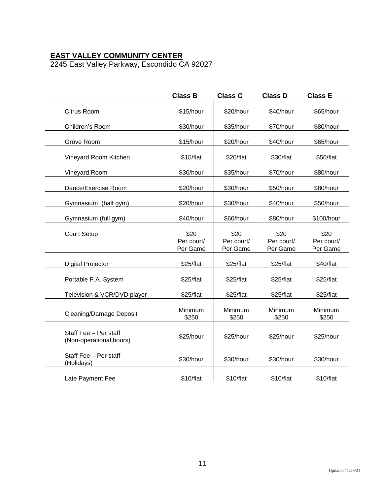## **EAST VALLEY COMMUNITY CENTER**

2245 East Valley Parkway, Escondido CA 92027

|                                                  | <b>Class B</b>                 | <b>Class C</b>                 | <b>Class D</b>                 | <b>Class E</b>                 |
|--------------------------------------------------|--------------------------------|--------------------------------|--------------------------------|--------------------------------|
| Citrus Room                                      | \$15/hour                      | \$20/hour                      | \$40/hour                      | \$65/hour                      |
| Children's Room                                  | \$30/hour                      | \$35/hour                      | \$70/hour                      | \$80/hour                      |
| Grove Room                                       | \$15/hour                      | \$20/hour                      | \$40/hour                      | \$65/hour                      |
| Vineyard Room Kitchen                            | \$15/flat                      | \$20/flat                      | \$30/flat                      | \$50/flat                      |
| Vineyard Room                                    | \$30/hour                      | \$35/hour                      | \$70/hour                      | \$80/hour                      |
| Dance/Exercise Room                              | \$20/hour                      | \$30/hour                      | \$50/hour                      | \$80/hour                      |
| Gymnasium (half gym)                             | \$20/hour                      | \$30/hour                      | \$40/hour                      | \$50/hour                      |
| Gymnasium (full gym)                             | \$40/hour                      | \$60/hour                      | \$80/hour                      | \$100/hour                     |
| <b>Court Setup</b>                               | \$20<br>Per court/<br>Per Game | \$20<br>Per court/<br>Per Game | \$20<br>Per court/<br>Per Game | \$20<br>Per court/<br>Per Game |
| <b>Digital Projector</b>                         | \$25/flat                      | \$25/flat                      | \$25/flat                      | \$40/flat                      |
| Portable P.A. System                             | \$25/flat                      | \$25/flat                      | \$25/flat                      | \$25/flat                      |
| Television & VCR/DVD player                      | \$25/flat                      | \$25/flat                      | \$25/flat                      | \$25/flat                      |
| <b>Cleaning/Damage Deposit</b>                   | Minimum<br>\$250               | Minimum<br>\$250               | Minimum<br>\$250               | Minimum<br>\$250               |
| Staff Fee - Per staff<br>(Non-operational hours) | \$25/hour                      | \$25/hour                      | \$25/hour                      | \$25/hour                      |
| Staff Fee - Per staff<br>(Holidays)              | \$30/hour                      | \$30/hour                      | \$30/hour                      | \$30/hour                      |
| Late Payment Fee                                 | \$10/flat                      | \$10/flat                      | \$10/flat                      | \$10/flat                      |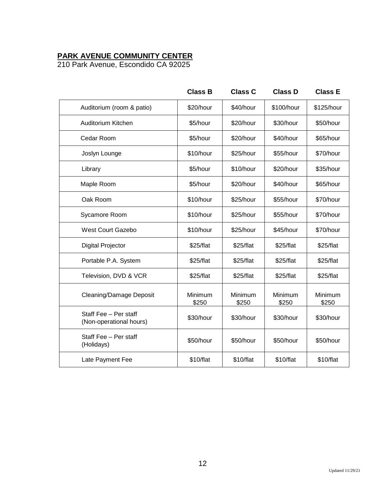## **PARK AVENUE COMMUNITY CENTER**

210 Park Avenue, Escondido CA 92025

|                                                  | <b>Class B</b>   | <b>Class C</b>   | <b>Class D</b>   | <b>Class E</b>   |
|--------------------------------------------------|------------------|------------------|------------------|------------------|
| Auditorium (room & patio)                        | \$20/hour        | \$40/hour        | \$100/hour       | \$125/hour       |
| Auditorium Kitchen                               | \$5/hour         | \$20/hour        | \$30/hour        | \$50/hour        |
| Cedar Room                                       | \$5/hour         | \$20/hour        | \$40/hour        | \$65/hour        |
| Joslyn Lounge                                    | \$10/hour        | \$25/hour        | \$55/hour        | \$70/hour        |
| Library                                          | \$5/hour         | \$10/hour        | \$20/hour        | \$35/hour        |
| Maple Room                                       | \$5/hour         | \$20/hour        | \$40/hour        | \$65/hour        |
| Oak Room                                         | \$10/hour        | \$25/hour        | \$55/hour        | \$70/hour        |
| Sycamore Room                                    | \$10/hour        | \$25/hour        | \$55/hour        | \$70/hour        |
| <b>West Court Gazebo</b>                         | \$10/hour        | \$25/hour        | \$45/hour        | \$70/hour        |
| <b>Digital Projector</b>                         | \$25/flat        | \$25/flat        | \$25/flat        | \$25/flat        |
| Portable P.A. System                             | \$25/flat        | \$25/flat        | \$25/flat        | \$25/flat        |
| Television, DVD & VCR                            | \$25/flat        | \$25/flat        | \$25/flat        | \$25/flat        |
| <b>Cleaning/Damage Deposit</b>                   | Minimum<br>\$250 | Minimum<br>\$250 | Minimum<br>\$250 | Minimum<br>\$250 |
| Staff Fee - Per staff<br>(Non-operational hours) | \$30/hour        | \$30/hour        | \$30/hour        | \$30/hour        |
| Staff Fee - Per staff<br>(Holidays)              | \$50/hour        | \$50/hour        | \$50/hour        | \$50/hour        |
| Late Payment Fee                                 | \$10/flat        | \$10/flat        | \$10/flat        | \$10/flat        |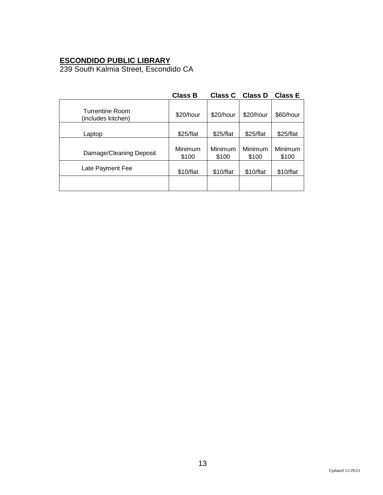## **ESCONDIDO PUBLIC LIBRARY**

239 South Kalmia Street, Escondido CA

|                                              | <b>Class B</b>   | <b>Class C</b>   | <b>Class D</b>   | <b>Class E</b>   |
|----------------------------------------------|------------------|------------------|------------------|------------------|
| <b>Turrentine Room</b><br>(includes kitchen) | \$20/hour        | \$20/hour        | \$20/hour        | \$60/hour        |
| Laptop                                       | \$25/flat        | \$25/flat        | \$25/flat        | \$25/flat        |
| Damage/Cleaning Deposit                      | Minimum<br>\$100 | Minimum<br>\$100 | Minimum<br>\$100 | Minimum<br>\$100 |
| Late Payment Fee                             | \$10/flat        | \$10/flat        | \$10/flat        | \$10/flat        |
|                                              |                  |                  |                  |                  |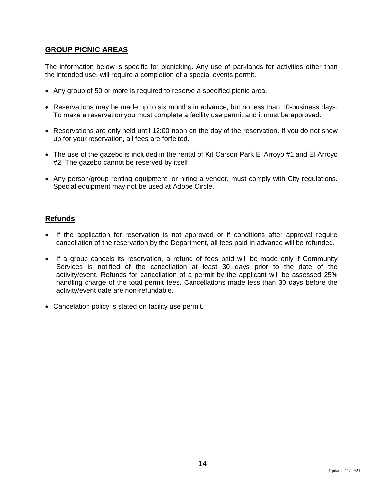## **GROUP PICNIC AREAS**

The information below is specific for picnicking. Any use of parklands for activities other than the intended use, will require a completion of a special events permit.

- Any group of 50 or more is required to reserve a specified picnic area.
- Reservations may be made up to six months in advance, but no less than 10-business days. To make a reservation you must complete a facility use permit and it must be approved.
- Reservations are only held until 12:00 noon on the day of the reservation. If you do not show up for your reservation, all fees are forfeited.
- The use of the gazebo is included in the rental of Kit Carson Park El Arroyo #1 and El Arroyo #2. The gazebo cannot be reserved by itself.
- Any person/group renting equipment, or hiring a vendor, must comply with City regulations. Special equipment may not be used at Adobe Circle.

## **Refunds**

- If the application for reservation is not approved or if conditions after approval require cancellation of the reservation by the Department, all fees paid in advance will be refunded.
- If a group cancels its reservation, a refund of fees paid will be made only if Community Services is notified of the cancellation at least 30 days prior to the date of the activity/event. Refunds for cancellation of a permit by the applicant will be assessed 25% handling charge of the total permit fees. Cancellations made less than 30 days before the activity/event date are non-refundable.
- Cancelation policy is stated on facility use permit.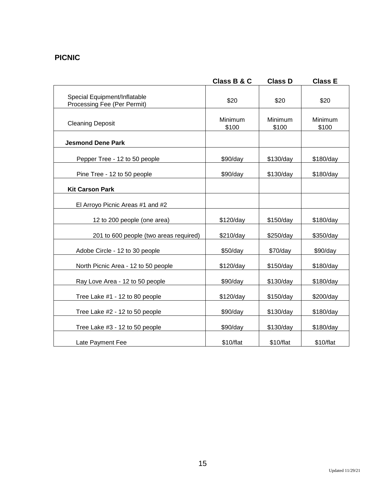## **PICNIC**

|                                                             | Class B & C      | <b>Class D</b>   | <b>Class E</b>   |
|-------------------------------------------------------------|------------------|------------------|------------------|
| Special Equipment/Inflatable<br>Processing Fee (Per Permit) | \$20             | \$20             | \$20             |
| <b>Cleaning Deposit</b>                                     | Minimum<br>\$100 | Minimum<br>\$100 | Minimum<br>\$100 |
| <b>Jesmond Dene Park</b>                                    |                  |                  |                  |
| Pepper Tree - 12 to 50 people                               | \$90/day         | \$130/day        | \$180/day        |
| Pine Tree - 12 to 50 people                                 | \$90/day         | \$130/day        | \$180/day        |
| <b>Kit Carson Park</b>                                      |                  |                  |                  |
| El Arroyo Picnic Areas #1 and #2                            |                  |                  |                  |
| 12 to 200 people (one area)                                 | \$120/day        | \$150/day        | \$180/day        |
| 201 to 600 people (two areas required)                      | \$210/day        | \$250/day        | \$350/day        |
| Adobe Circle - 12 to 30 people                              | \$50/day         | \$70/day         | \$90/day         |
| North Picnic Area - 12 to 50 people                         | \$120/day        | \$150/day        | \$180/day        |
| Ray Love Area - 12 to 50 people                             | \$90/day         | \$130/day        | \$180/day        |
| Tree Lake #1 - 12 to 80 people                              | \$120/day        | \$150/day        | \$200/day        |
| Tree Lake #2 - 12 to 50 people                              | \$90/day         | \$130/day        | \$180/day        |
| Tree Lake #3 - 12 to 50 people                              | \$90/day         | \$130/day        | \$180/day        |
| Late Payment Fee                                            | \$10/flat        | \$10/flat        | \$10/flat        |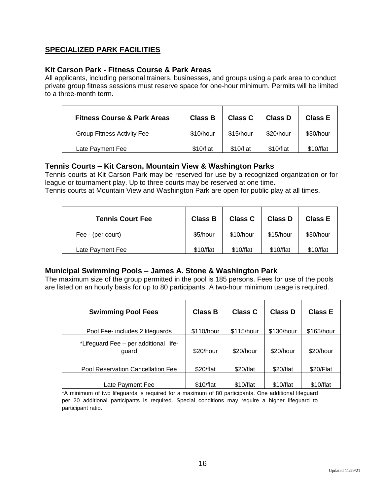## **SPECIALIZED PARK FACILITIES**

#### **Kit Carson Park - Fitness Course & Park Areas**

All applicants, including personal trainers, businesses, and groups using a park area to conduct private group fitness sessions must reserve space for one-hour minimum. Permits will be limited to a three-month term.

| <b>Fitness Course &amp; Park Areas</b> | <b>Class B</b> | Class C   | <b>Class D</b> | Class E   |
|----------------------------------------|----------------|-----------|----------------|-----------|
| <b>Group Fitness Activity Fee</b>      | \$10/hour      | \$15/hour | \$20/hour      | \$30/hour |
| Late Payment Fee                       | \$10/flat      | \$10/flat | \$10/flat      | \$10/flat |

#### **Tennis Courts – Kit Carson, Mountain View & Washington Parks**

Tennis courts at Kit Carson Park may be reserved for use by a recognized organization or for league or tournament play. Up to three courts may be reserved at one time.

Tennis courts at Mountain View and Washington Park are open for public play at all times.

| <b>Tennis Court Fee</b> | <b>Class B</b> | <b>Class C</b> | <b>Class D</b> | <b>Class E</b> |
|-------------------------|----------------|----------------|----------------|----------------|
| Fee - (per court)       | \$5/hour       | \$10/hour      | \$15/hour      | \$30/hour      |
| Late Payment Fee        | \$10/flat      | \$10/flat      | \$10/flat      | \$10/flat      |

### **Municipal Swimming Pools – James A. Stone & Washington Park**

The maximum size of the group permitted in the pool is 185 persons. Fees for use of the pools are listed on an hourly basis for up to 80 participants. A two-hour minimum usage is required.

| <b>Swimming Pool Fees</b>                      | <b>Class B</b> | <b>Class C</b> | <b>Class D</b> | <b>Class E</b> |
|------------------------------------------------|----------------|----------------|----------------|----------------|
|                                                |                |                |                |                |
| Pool Fee- includes 2 lifeguards                | \$110/hour     | \$115/hour     | \$130/hour     | \$165/hour     |
| *Lifeguard Fee - per additional life-<br>quard | \$20/hour      | \$20/hour      | \$20/hour      | \$20/hour      |
| Pool Reservation Cancellation Fee              | \$20/flat      | \$20/flat      | \$20/flat      | \$20/Flat      |
| Late Payment Fee                               | \$10/flat      | \$10/flat      | \$10/flat      | \$10/flat      |

\*A minimum of two lifeguards is required for a maximum of 80 participants. One additional lifeguard per 20 additional participants is required. Special conditions may require a higher lifeguard to participant ratio.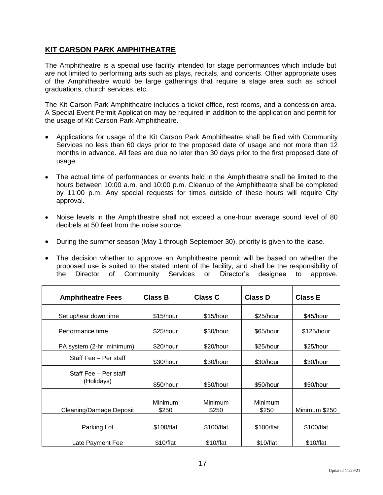## **KIT CARSON PARK AMPHITHEATRE**

The Amphitheatre is a special use facility intended for stage performances which include but are not limited to performing arts such as plays, recitals, and concerts. Other appropriate uses of the Amphitheatre would be large gatherings that require a stage area such as school graduations, church services, etc.

The Kit Carson Park Amphitheatre includes a ticket office, rest rooms, and a concession area. A Special Event Permit Application may be required in addition to the application and permit for the usage of Kit Carson Park Amphitheatre.

- Applications for usage of the Kit Carson Park Amphitheatre shall be filed with Community Services no less than 60 days prior to the proposed date of usage and not more than 12 months in advance. All fees are due no later than 30 days prior to the first proposed date of usage.
- The actual time of performances or events held in the Amphitheatre shall be limited to the hours between 10:00 a.m. and 10:00 p.m. Cleanup of the Amphitheatre shall be completed by 11:00 p.m. Any special requests for times outside of these hours will require City approval.
- Noise levels in the Amphitheatre shall not exceed a one-hour average sound level of 80 decibels at 50 feet from the noise source.
- During the summer season (May 1 through September 30), priority is given to the lease.
- The decision whether to approve an Amphitheatre permit will be based on whether the proposed use is suited to the stated intent of the facility, and shall be the responsibility of the Director of Community Services or Director's designee to approve.

| <b>Amphitheatre Fees</b>            | <b>Class B</b>          | <b>Class C</b>   | <b>Class D</b>   | <b>Class E</b> |
|-------------------------------------|-------------------------|------------------|------------------|----------------|
| Set up/tear down time               | \$15/hour               | \$15/hour        | \$25/hour        | \$45/hour      |
| Performance time                    | \$25/hour               | \$30/hour        | \$65/hour        | \$125/hour     |
| PA system (2-hr. minimum)           | \$20/hour               | \$20/hour        | \$25/hour        | \$25/hour      |
| Staff Fee - Per staff               | \$30/hour               | \$30/hour        | \$30/hour        | \$30/hour      |
| Staff Fee - Per staff<br>(Holidays) | \$50/hour               | \$50/hour        | \$50/hour        | \$50/hour      |
| Cleaning/Damage Deposit             | <b>Minimum</b><br>\$250 | Minimum<br>\$250 | Minimum<br>\$250 | Minimum \$250  |
| Parking Lot                         | \$100/flat              | \$100/flat       | \$100/flat       | \$100/flat     |
| Late Payment Fee                    | \$10/flat               | \$10/flat        | \$10/flat        | \$10/flat      |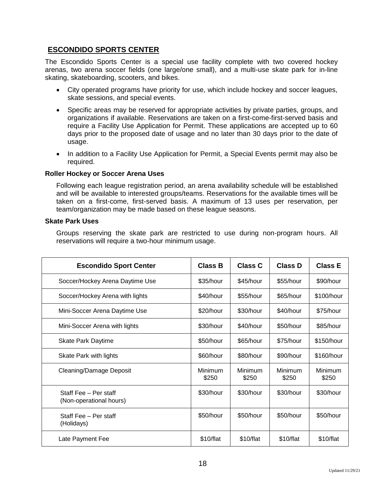## **ESCONDIDO SPORTS CENTER**

The Escondido Sports Center is a special use facility complete with two covered hockey arenas, two arena soccer fields (one large/one small), and a multi-use skate park for in-line skating, skateboarding, scooters, and bikes.

- City operated programs have priority for use, which include hockey and soccer leagues, skate sessions, and special events.
- Specific areas may be reserved for appropriate activities by private parties, groups, and organizations if available. Reservations are taken on a first-come-first-served basis and require a Facility Use Application for Permit. These applications are accepted up to 60 days prior to the proposed date of usage and no later than 30 days prior to the date of usage.
- In addition to a Facility Use Application for Permit, a Special Events permit may also be required.

#### **Roller Hockey or Soccer Arena Uses**

Following each league registration period, an arena availability schedule will be established and will be available to interested groups/teams. Reservations for the available times will be taken on a first-come, first-served basis. A maximum of 13 uses per reservation, per team/organization may be made based on these league seasons.

#### **Skate Park Uses**

Groups reserving the skate park are restricted to use during non-program hours. All reservations will require a two-hour minimum usage.

| <b>Escondido Sport Center</b>                    | <b>Class B</b>   | <b>Class C</b>   | <b>Class D</b>   | <b>Class E</b>   |
|--------------------------------------------------|------------------|------------------|------------------|------------------|
| Soccer/Hockey Arena Daytime Use                  | \$35/hour        | \$45/hour        | \$55/hour        | \$90/hour        |
| Soccer/Hockey Arena with lights                  | \$40/hour        | \$55/hour        | \$65/hour        | \$100/hour       |
| Mini-Soccer Arena Daytime Use                    | \$20/hour        | \$30/hour        | \$40/hour        | \$75/hour        |
| Mini-Soccer Arena with lights                    | \$30/hour        | \$40/hour        | \$50/hour        | \$85/hour        |
| <b>Skate Park Daytime</b>                        | \$50/hour        | \$65/hour        | \$75/hour        | \$150/hour       |
| Skate Park with lights                           | \$60/hour        | \$80/hour        | \$90/hour        | \$160/hour       |
| Cleaning/Damage Deposit                          | Minimum<br>\$250 | Minimum<br>\$250 | Minimum<br>\$250 | Minimum<br>\$250 |
| Staff Fee - Per staff<br>(Non-operational hours) | \$30/hour        | \$30/hour        | \$30/hour        | \$30/hour        |
| Staff Fee - Per staff<br>(Holidays)              | \$50/hour        | \$50/hour        | \$50/hour        | \$50/hour        |
| Late Payment Fee                                 | \$10/flat        | \$10/flat        | \$10/flat        | \$10/flat        |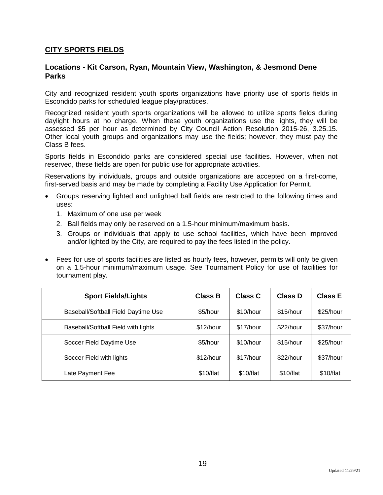### **CITY SPORTS FIELDS**

#### **Locations - Kit Carson, Ryan, Mountain View, Washington, & Jesmond Dene Parks**

City and recognized resident youth sports organizations have priority use of sports fields in Escondido parks for scheduled league play/practices.

Recognized resident youth sports organizations will be allowed to utilize sports fields during daylight hours at no charge. When these youth organizations use the lights, they will be assessed \$5 per hour as determined by City Council Action Resolution 2015-26, 3.25.15. Other local youth groups and organizations may use the fields; however, they must pay the Class B fees.

Sports fields in Escondido parks are considered special use facilities. However, when not reserved, these fields are open for public use for appropriate activities.

Reservations by individuals, groups and outside organizations are accepted on a first-come, first-served basis and may be made by completing a Facility Use Application for Permit.

- Groups reserving lighted and unlighted ball fields are restricted to the following times and uses:
	- 1. Maximum of one use per week
	- 2. Ball fields may only be reserved on a 1.5-hour minimum/maximum basis.
	- 3. Groups or individuals that apply to use school facilities, which have been improved and/or lighted by the City, are required to pay the fees listed in the policy.
- Fees for use of sports facilities are listed as hourly fees, however, permits will only be given on a 1.5-hour minimum/maximum usage. See Tournament Policy for use of facilities for tournament play.

| <b>Sport Fields/Lights</b>          | <b>Class B</b> | Class C   | Class D   | <b>Class E</b> |
|-------------------------------------|----------------|-----------|-----------|----------------|
| Baseball/Softball Field Daytime Use | \$5/hour       | \$10/hour | \$15/hour | \$25/hour      |
| Baseball/Softball Field with lights | \$12/hour      | \$17/hour | \$22/hour | \$37/hour      |
| Soccer Field Daytime Use            | \$5/hour       | \$10/hour | \$15/hour | \$25/hour      |
| Soccer Field with lights            | \$12/hour      | \$17/hour | \$22/hour | \$37/hour      |
| Late Payment Fee                    | \$10/flat      | \$10/flat | \$10/flat | \$10/flat      |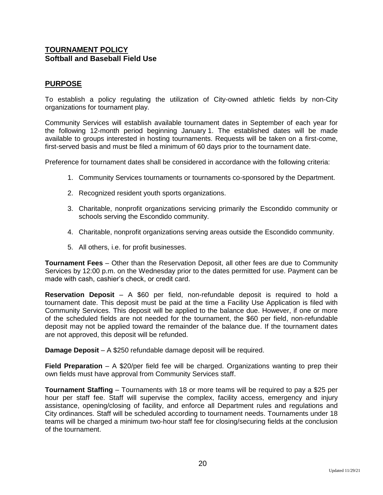## **TOURNAMENT POLICY Softball and Baseball Field Use**

## **PURPOSE**

To establish a policy regulating the utilization of City-owned athletic fields by non-City organizations for tournament play.

Community Services will establish available tournament dates in September of each year for the following 12-month period beginning January 1. The established dates will be made available to groups interested in hosting tournaments. Requests will be taken on a first-come, first-served basis and must be filed a minimum of 60 days prior to the tournament date.

Preference for tournament dates shall be considered in accordance with the following criteria:

- 1. Community Services tournaments or tournaments co-sponsored by the Department.
- 2. Recognized resident youth sports organizations.
- 3. Charitable, nonprofit organizations servicing primarily the Escondido community or schools serving the Escondido community.
- 4. Charitable, nonprofit organizations serving areas outside the Escondido community.
- 5. All others, i.e. for profit businesses.

**Tournament Fees** – Other than the Reservation Deposit, all other fees are due to Community Services by 12:00 p.m. on the Wednesday prior to the dates permitted for use. Payment can be made with cash, cashier's check, or credit card.

**Reservation Deposit** – A \$60 per field, non-refundable deposit is required to hold a tournament date. This deposit must be paid at the time a Facility Use Application is filed with Community Services. This deposit will be applied to the balance due. However, if one or more of the scheduled fields are not needed for the tournament, the \$60 per field, non-refundable deposit may not be applied toward the remainder of the balance due. If the tournament dates are not approved, this deposit will be refunded.

**Damage Deposit** – A \$250 refundable damage deposit will be required.

**Field Preparation** – A \$20/per field fee will be charged. Organizations wanting to prep their own fields must have approval from Community Services staff.

**Tournament Staffing** – Tournaments with 18 or more teams will be required to pay a \$25 per hour per staff fee. Staff will supervise the complex, facility access, emergency and injury assistance, opening/closing of facility, and enforce all Department rules and regulations and City ordinances. Staff will be scheduled according to tournament needs. Tournaments under 18 teams will be charged a minimum two-hour staff fee for closing/securing fields at the conclusion of the tournament.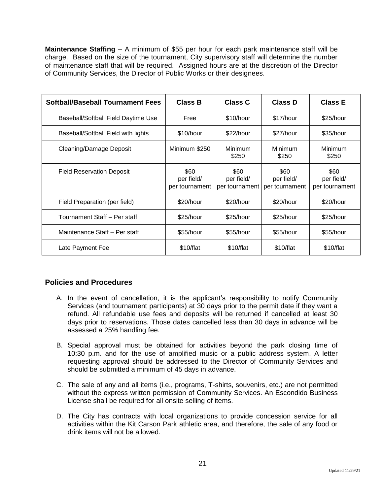**Maintenance Staffing** – A minimum of \$55 per hour for each park maintenance staff will be charge. Based on the size of the tournament, City supervisory staff will determine the number of maintenance staff that will be required. Assigned hours are at the discretion of the Director of Community Services, the Director of Public Works or their designees.

| <b>Softball/Baseball Tournament Fees</b> | <b>Class B</b>                       | <b>Class C</b>                       | <b>Class D</b>                       | <b>Class E</b>                       |
|------------------------------------------|--------------------------------------|--------------------------------------|--------------------------------------|--------------------------------------|
| Baseball/Softball Field Daytime Use      | Free                                 | \$10/hour                            | \$17/hour                            | \$25/hour                            |
| Baseball/Softball Field with lights      | \$10/hour                            | \$22/hour                            | \$27/hour                            | \$35/hour                            |
| Cleaning/Damage Deposit                  | Minimum \$250                        | Minimum<br>\$250                     | Minimum<br>\$250                     | Minimum<br>\$250                     |
| <b>Field Reservation Deposit</b>         | \$60<br>per field/<br>per tournament | \$60<br>per field/<br>per tournament | \$60<br>per field/<br>per tournament | \$60<br>per field/<br>per tournament |
| Field Preparation (per field)            | \$20/hour                            | \$20/hour                            | \$20/hour                            | \$20/hour                            |
| Tournament Staff - Per staff             | \$25/hour                            | \$25/hour                            | \$25/hour                            | \$25/hour                            |
| Maintenance Staff - Per staff            | \$55/hour                            | \$55/hour                            | \$55/hour                            | \$55/hour                            |
| Late Payment Fee                         | \$10/flat                            | \$10/flat                            | \$10/flat                            | \$10/flat                            |

### **Policies and Procedures**

- A. In the event of cancellation, it is the applicant's responsibility to notify Community Services (and tournament participants) at 30 days prior to the permit date if they want a refund. All refundable use fees and deposits will be returned if cancelled at least 30 days prior to reservations. Those dates cancelled less than 30 days in advance will be assessed a 25% handling fee.
- B. Special approval must be obtained for activities beyond the park closing time of 10:30 p.m. and for the use of amplified music or a public address system. A letter requesting approval should be addressed to the Director of Community Services and should be submitted a minimum of 45 days in advance.
- C. The sale of any and all items (i.e., programs, T-shirts, souvenirs, etc.) are not permitted without the express written permission of Community Services. An Escondido Business License shall be required for all onsite selling of items.
- D. The City has contracts with local organizations to provide concession service for all activities within the Kit Carson Park athletic area, and therefore, the sale of any food or drink items will not be allowed.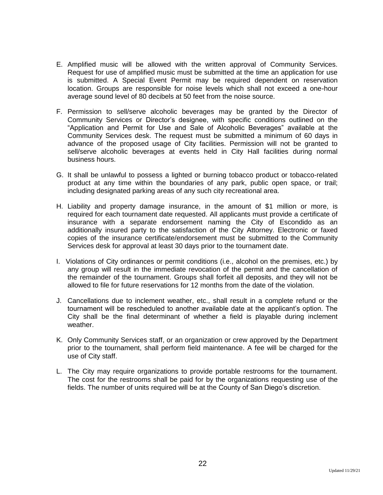- E. Amplified music will be allowed with the written approval of Community Services. Request for use of amplified music must be submitted at the time an application for use is submitted. A Special Event Permit may be required dependent on reservation location. Groups are responsible for noise levels which shall not exceed a one-hour average sound level of 80 decibels at 50 feet from the noise source.
- F. Permission to sell/serve alcoholic beverages may be granted by the Director of Community Services or Director's designee, with specific conditions outlined on the "Application and Permit for Use and Sale of Alcoholic Beverages" available at the Community Services desk. The request must be submitted a minimum of 60 days in advance of the proposed usage of City facilities. Permission will not be granted to sell/serve alcoholic beverages at events held in City Hall facilities during normal business hours.
- G. It shall be unlawful to possess a lighted or burning tobacco product or tobacco-related product at any time within the boundaries of any park, public open space, or trail; including designated parking areas of any such city recreational area.
- H. Liability and property damage insurance, in the amount of \$1 million or more, is required for each tournament date requested. All applicants must provide a certificate of insurance with a separate endorsement naming the City of Escondido as an additionally insured party to the satisfaction of the City Attorney. Electronic or faxed copies of the insurance certificate/endorsement must be submitted to the Community Services desk for approval at least 30 days prior to the tournament date.
- I. Violations of City ordinances or permit conditions (i.e., alcohol on the premises, etc.) by any group will result in the immediate revocation of the permit and the cancellation of the remainder of the tournament. Groups shall forfeit all deposits, and they will not be allowed to file for future reservations for 12 months from the date of the violation.
- J. Cancellations due to inclement weather, etc., shall result in a complete refund or the tournament will be rescheduled to another available date at the applicant's option. The City shall be the final determinant of whether a field is playable during inclement weather.
- K. Only Community Services staff, or an organization or crew approved by the Department prior to the tournament, shall perform field maintenance. A fee will be charged for the use of City staff.
- L. The City may require organizations to provide portable restrooms for the tournament. The cost for the restrooms shall be paid for by the organizations requesting use of the fields. The number of units required will be at the County of San Diego's discretion.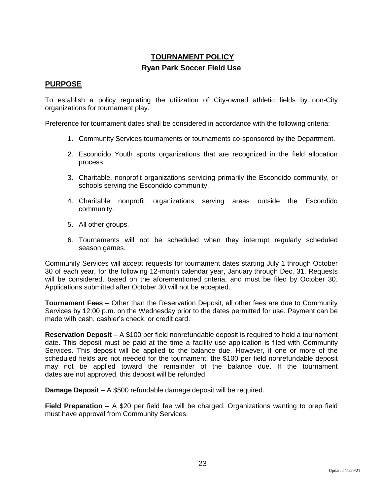## **TOURNAMENT POLICY Ryan Park Soccer Field Use**

#### **PURPOSE**

To establish a policy regulating the utilization of City-owned athletic fields by non-City organizations for tournament play.

Preference for tournament dates shall be considered in accordance with the following criteria:

- 1. Community Services tournaments or tournaments co-sponsored by the Department.
- 2. Escondido Youth sports organizations that are recognized in the field allocation process.
- 3. Charitable, nonprofit organizations servicing primarily the Escondido community, or schools serving the Escondido community.
- 4. Charitable nonprofit organizations serving areas outside the Escondido community.
- 5. All other groups.
- 6. Tournaments will not be scheduled when they interrupt regularly scheduled season games.

Community Services will accept requests for tournament dates starting July 1 through October 30 of each year, for the following 12-month calendar year, January through Dec. 31. Requests will be considered, based on the aforementioned criteria, and must be filed by October 30. Applications submitted after October 30 will not be accepted.

**Tournament Fees** – Other than the Reservation Deposit, all other fees are due to Community Services by 12:00 p.m. on the Wednesday prior to the dates permitted for use. Payment can be made with cash, cashier's check, or credit card.

**Reservation Deposit** – A \$100 per field nonrefundable deposit is required to hold a tournament date. This deposit must be paid at the time a facility use application is filed with Community Services. This deposit will be applied to the balance due. However, if one or more of the scheduled fields are not needed for the tournament, the \$100 per field nonrefundable deposit may not be applied toward the remainder of the balance due. If the tournament dates are not approved, this deposit will be refunded.

**Damage Deposit** – A \$500 refundable damage deposit will be required.

**Field Preparation** – A \$20 per field fee will be charged. Organizations wanting to prep field must have approval from Community Services.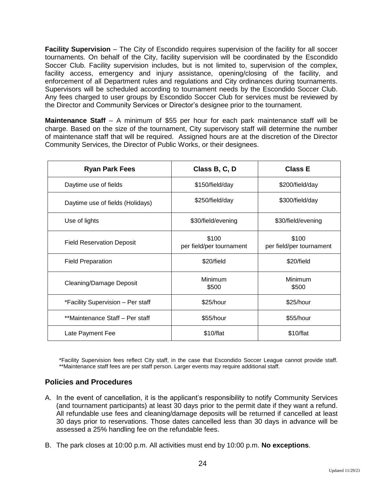**Facility Supervision** – The City of Escondido requires supervision of the facility for all soccer tournaments. On behalf of the City, facility supervision will be coordinated by the Escondido Soccer Club. Facility supervision includes, but is not limited to, supervision of the complex, facility access, emergency and injury assistance, opening/closing of the facility, and enforcement of all Department rules and regulations and City ordinances during tournaments. Supervisors will be scheduled according to tournament needs by the Escondido Soccer Club. Any fees charged to user groups by Escondido Soccer Club for services must be reviewed by the Director and Community Services or Director's designee prior to the tournament.

**Maintenance Staff** – A minimum of \$55 per hour for each park maintenance staff will be charge. Based on the size of the tournament, City supervisory staff will determine the number of maintenance staff that will be required. Assigned hours are at the discretion of the Director Community Services, the Director of Public Works, or their designees.

| <b>Ryan Park Fees</b>             | Class B, C, D                     | <b>Class E</b>                    |  |
|-----------------------------------|-----------------------------------|-----------------------------------|--|
| Daytime use of fields             | \$150/field/day                   | \$200/field/day                   |  |
| Daytime use of fields (Holidays)  | \$250/field/day                   | \$300/field/day                   |  |
| Use of lights                     | \$30/field/evening                | \$30/field/evening                |  |
| <b>Field Reservation Deposit</b>  | \$100<br>per field/per tournament | \$100<br>per field/per tournament |  |
| <b>Field Preparation</b>          | \$20/field                        | \$20/field                        |  |
| Cleaning/Damage Deposit           | Minimum<br>\$500                  | Minimum<br>\$500                  |  |
| *Facility Supervision - Per staff | \$25/hour                         | \$25/hour                         |  |
| **Maintenance Staff - Per staff   | \$55/hour                         | \$55/hour                         |  |
| Late Payment Fee                  | \$10/flat                         | \$10/flat                         |  |

\*Facility Supervision fees reflect City staff, in the case that Escondido Soccer League cannot provide staff. \*\*Maintenance staff fees are per staff person. Larger events may require additional staff.

## **Policies and Procedures**

- A. In the event of cancellation, it is the applicant's responsibility to notify Community Services (and tournament participants) at least 30 days prior to the permit date if they want a refund. All refundable use fees and cleaning/damage deposits will be returned if cancelled at least 30 days prior to reservations. Those dates cancelled less than 30 days in advance will be assessed a 25% handling fee on the refundable fees.
- B. The park closes at 10:00 p.m. All activities must end by 10:00 p.m. **No exceptions**.